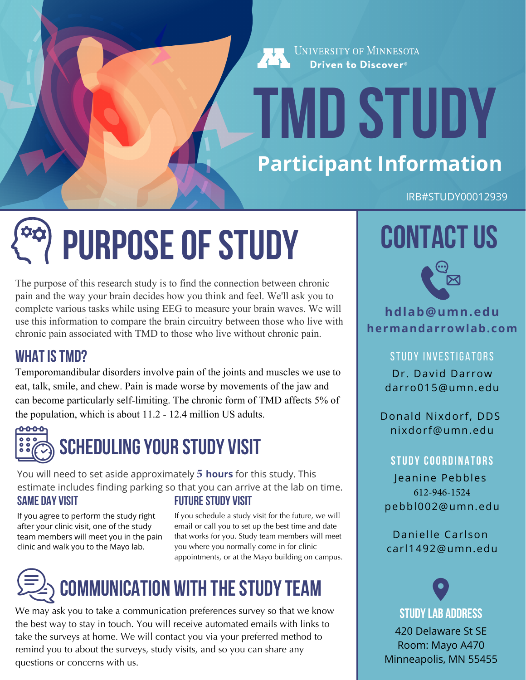UNIVERSITY OF MINNESOTA Driven to Discover<sup>®</sup>

# **TMD Study Participant Information**

IRB#STUDY00012939

# **Purpose of Study**

The purpose of this research study is to find the connection between chronic pain and the way your brain decides how you think and feel. We'll ask you to complete various tasks while using EEG to measure your brain waves. We will use this information to compare the brain circuitry between those who live with chronic pain associated with TMD to those who live without chronic pain.

#### **What is TMD?**

Temporomandibular disorders involve pain of the joints and muscles we use to eat, talk, smile, and chew. Pain is made worse by movements of the jaw and can become particularly self-limiting. The chronic form of TMD affects 5% of the population, which is about 11.2 - 12.4 million US adults.



### **Scheduling Your Study Visit**

You will need to set aside approximately **5 hours** for this study. This estimate includes finding parking so that you can arrive at the lab on time. **Same day Visit Future study Visit** 

If you agree to perform the study right after your clinic visit, one of the study team members will meet you in the pain clinic and walk you to the Mayo lab.

If you schedule a study visit for the future, we will email or call you to set up the best time and date that works for you. Study team members will meet you where you normally come in for clinic appointments, or at the Mayo building on campus.

### **Communication with the study team**

We may ask you to take a communication preferences survey so that we know the best way to stay in touch. You will receive automated emails with links to take the surveys at home. We will contact you via your preferred method to remind you to about the surveys, study visits, and so you can share any questions or concerns with us.

### **Contact Us**



#### **hdlab@umn.edu hermandarrowlab.com**

STUDY INVESTIGATORS Dr. David Darrow [darro015@umn.edu](mailto:darro015@umn.edu)

Donald Nixdorf, DDS [nixdorf@umn.edu](mailto:nixdorf@umn.edu)

#### **STUDY COORDINATORS**

Jeanine Pebbles 612-946-1524 pebbl002@umn.edu

Danielle Carlson [carl1492@umn.edu](mailto:carl1492@umn.edu)

**Study Lab Address**

Room: Mayo A470  $E$ iviinneapolis, MIN 55455 Minneapolis, MN 55455 420 Delaware St SE